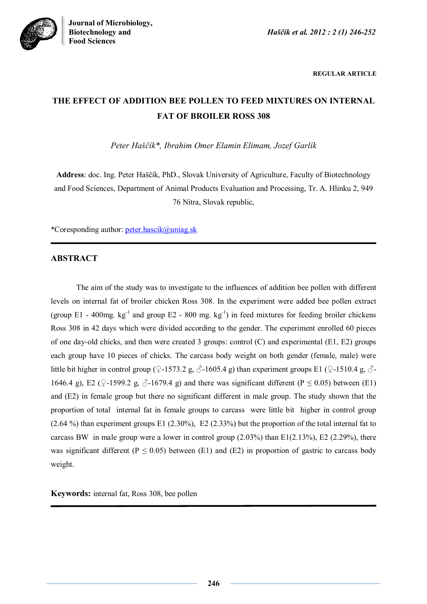



**REGULAR ARTICLE**

# **THE EFFECT OF ADDITION BEE POLLEN TO FEED MIXTURES ON INTERNAL FAT OF BROILER ROSS 308**

*Peter Haščík\*, Ibrahim Omer Elamin Elimam, Jozef Garlík*

**Address**: doc. Ing. Peter Haščík, PhD., Slovak University of Agriculture, Faculty of Biotechnology and Food Sciences, Department of Animal Products Evaluation and Processing, Tr. A. Hlinku 2, 949 76 Nitra, Slovak republic,

\*Coresponding author: peter.hascik@uniag.sk

## **ABSTRACT**

The aim of the study was to investigate to the influences of addition bee pollen with different levels on internal fat of broiler chicken Ross 308. In the experiment were added bee pollen extract (group E1 - 400mg.  $kg^{-1}$  and group E2 - 800 mg.  $kg^{-1}$ ) in feed mixtures for feeding broiler chickens Ross 308 in 42 days which were divided according to the gender. The experiment enrolled 60 pieces of one day-old chicks, and then were created 3 groups: control (C) and experimental (E1, E2) groups each group have 10 pieces of chicks. The carcass body weight on both gender (female, male) were little bit higher in control group (♀-1573.2 g, ♂-1605.4 g) than experiment groups E1 (♀-1510.4 g, ♂-1646.4 g), E2 (♀-1599.2 g, ♂-1679.4 g) and there was significant different (P  $\leq$  0.05) between (E1) and (E2) in female group but there no significant different in male group. The study shown that the proportion of total internal fat in female groups to carcass were little bit higher in control group (2.64 %) than experiment groups E1 (2.30%), E2 (2.33%) but the proportion of the total internal fat to carcass BW in male group were a lower in control group  $(2.03\%)$  than E1(2.13%), E2 (2.29%), there was significant different ( $P \le 0.05$ ) between (E1) and (E2) in proportion of gastric to carcass body weight.

**Keywords:** internal fat, Ross 308, bee pollen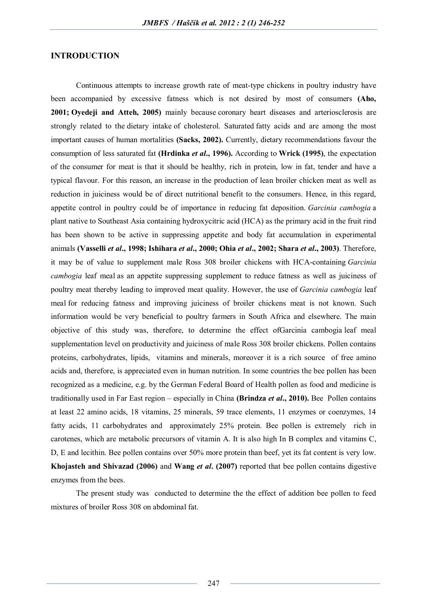#### **INTRODUCTION**

Continuous attempts to increase growth rate of meat-type chickens in poultry industry have been accompanied by excessive fatness which is not desired by most of consumers **(Aho, 2001; Oyedeji and Atteh, 2005)** mainly because coronary heart diseases and arteriosclerosis are strongly related to the dietary intake of cholesterol. Saturated fatty acids and are among the most important causes of human mortalities **(Sacks, 2002).** Currently, dietary recommendations favour the consumption of less saturated fat **(Hrdinka** *et al***., 1996).** According to **Wrick (1995)**, the expectation of the consumer for meat is that it should be healthy, rich in protein, low in fat, tender and have a typical flavour. For this reason, an increase in the production of lean broiler chicken meat as well as reduction in juiciness would be of direct nutritional benefit to the consumers. Hence, in this regard, appetite control in poultry could be of importance in reducing fat deposition. *Garcinia cambogia* a plant native to Southeast Asia containing hydroxycitric acid (HCA) as the primary acid in the fruit rind has been shown to be active in suppressing appetite and body fat accumulation in experimental animals **(Vasselli** *et al***., 1998; Ishihara** *et al***., 2000; Ohia** *et al***., 2002; Shara** *et al***., 2003)**. Therefore, it may be of value to supplement male Ross 308 broiler chickens with HCA-containing *Garcinia cambogia* leaf meal as an appetite suppressing supplement to reduce fatness as well as juiciness of poultry meat thereby leading to improved meat quality. However, the use of *Garcinia cambogia* leaf meal for reducing fatness and improving juiciness of broiler chickens meat is not known. Such information would be very beneficial to poultry farmers in South Africa and elsewhere. The main objective of this study was, therefore, to determine the effect ofGarcinia cambogia leaf meal supplementation level on productivity and juiciness of male Ross 308 broiler chickens. Pollen contains proteins, carbohydrates, lipids, vitamins and minerals, moreover it is a rich source of free amino acids and, therefore, is appreciated even in human nutrition. In some countries the bee pollen has been recognized as a medicine, e.g. by the German Federal Board of Health pollen as food and medicine is traditionally used in Far East region – especially in China **(Brindza** *et al***., 2010).** Bee Pollen contains at least 22 amino acids, 18 vitamins, 25 minerals, 59 trace elements, 11 enzymes or coenzymes, 14 fatty acids, 11 carbohydrates and approximately 25% protein. Bee pollen is extremely rich in carotenes, which are metabolic precursors of vitamin A. It is also high In B complex and vitamins C, D, E and lecithin. Bee pollen contains over 50% more protein than beef, yet its fat content is very low. **Khojasteh and Shivazad (2006)** and **Wang** *et al***. (2007)** reported that bee pollen contains digestive enzymes from the bees.

The present study was conducted to determine the the effect of addition bee pollen to feed mixtures of broiler Ross 308 on abdominal fat.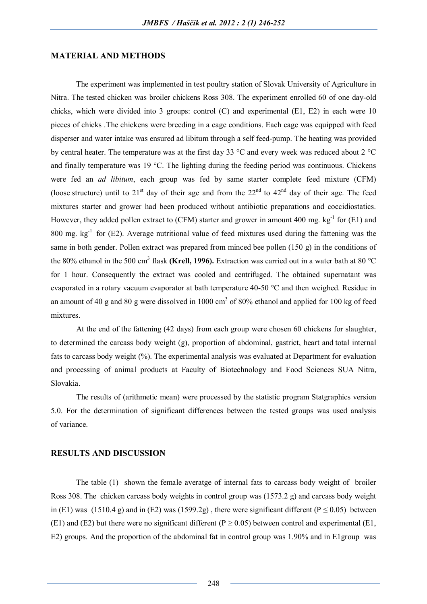#### **MATERIAL AND METHODS**

The experiment was implemented in test poultry station of Slovak University of Agriculture in Nitra. The tested chicken was broiler chickens Ross 308. The experiment enrolled 60 of one day-old chicks, which were divided into 3 groups: control (C) and experimental (E1, E2) in each were 10 pieces of chicks .The chickens were breeding in a cage conditions. Each cage was equipped with feed disperser and water intake was ensured ad libitum through a self feed-pump. The heating was provided by central heater. The temperature was at the first day 33 °C and every week was reduced about 2 °C and finally temperature was 19 °C. The lighting during the feeding period was continuous. Chickens were fed an *ad libitum*, each group was fed by same starter complete feed mixture (CFM) (loose structure) until to 21<sup>st</sup> day of their age and from the 22<sup>nd</sup> to 42<sup>nd</sup> day of their age. The feed mixtures starter and grower had been produced without antibiotic preparations and coccidiostatics. However, they added pollen extract to (CFM) starter and grower in amount 400 mg.  $kg^{-1}$  for (E1) and 800 mg.  $kg^{-1}$  for (E2). Average nutritional value of feed mixtures used during the fattening was the same in both gender. Pollen extract was prepared from minced bee pollen (150 g) in the conditions of the 80% ethanol in the 500 cm<sup>3</sup> flask (Krell, 1996). Extraction was carried out in a water bath at 80 °C for 1 hour. Consequently the extract was cooled and centrifuged. The obtained supernatant was evaporated in a rotary vacuum evaporator at bath temperature 40-50 °C and then weighed. Residue in an amount of 40 g and 80 g were dissolved in 1000  $\text{cm}^3$  of 80% ethanol and applied for 100 kg of feed mixtures.

At the end of the fattening (42 days) from each group were chosen 60 chickens for slaughter, to determined the carcass body weight (g), proportion of abdominal, gastrict, heart and total internal fats to carcass body weight (%). The experimental analysis was evaluated at Department for evaluation and processing of animal products at Faculty of Biotechnology and Food Sciences SUA Nitra, Slovakia.

The results of (arithmetic mean) were processed by the statistic program Statgraphics version 5.0. For the determination of significant differences between the tested groups was used analysis of variance.

### **RESULTS AND DISCUSSION**

The table (1) shown the female averatge of internal fats to carcass body weight of broiler Ross 308. The chicken carcass body weights in control group was (1573.2 g) and carcass body weight in (E1) was (1510.4 g) and in (E2) was (1599.2g), there were significant different (P  $\leq$  0.05) between (E1) and (E2) but there were no significant different (P  $\geq$  0.05) between control and experimental (E1, E2) groups. And the proportion of the abdominal fat in control group was 1.90% and in E1group was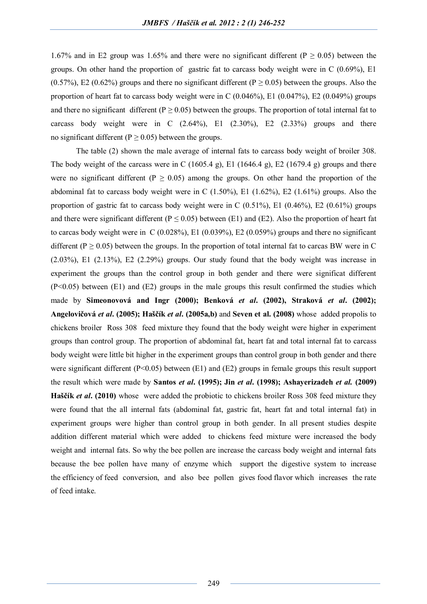1.67% and in E2 group was 1.65% and there were no significant different ( $P \ge 0.05$ ) between the groups. On other hand the proportion of gastric fat to carcass body weight were in C (0.69%), E1  $(0.57%)$ , E2 (0.62%) groups and there no significant different (P  $\geq$  0.05) between the groups. Also the proportion of heart fat to carcass body weight were in C  $(0.046\%)$ , E1  $(0.047\%)$ , E2  $(0.049\%)$  groups and there no significant different ( $P \ge 0.05$ ) between the groups. The proportion of total internal fat to carcass body weight were in C  $(2.64\%)$ , E1  $(2.30\%)$ , E2  $(2.33\%)$  groups and there no significant different ( $P \ge 0.05$ ) between the groups.

The table (2) shown the male average of internal fats to carcass body weight of broiler 308. The body weight of the carcass were in C  $(1605.4 \text{ g})$ , E1  $(1646.4 \text{ g})$ , E2  $(1679.4 \text{ g})$  groups and there were no significant different ( $P \ge 0.05$ ) among the groups. On other hand the proportion of the abdominal fat to carcass body weight were in C (1.50%), E1 (1.62%), E2 (1.61%) groups. Also the proportion of gastric fat to carcass body weight were in C (0.51%), E1 (0.46%), E2 (0.61%) groups and there were significant different ( $P \le 0.05$ ) between (E1) and (E2). Also the proportion of heart fat to carcas body weight were in C (0.028%), E1 (0.039%), E2 (0.059%) groups and there no significant different ( $P \ge 0.05$ ) between the groups. In the proportion of total internal fat to carcas BW were in C  $(2.03\%)$ , E1  $(2.13\%)$ , E2  $(2.29\%)$  groups. Our study found that the body weight was increase in experiment the groups than the control group in both gender and there were significat different (P<0.05) between (E1) and (E2) groups in the male groups this result confirmed the studies which made by **Simeonovová and Ingr (2000); Benková** *et al***. (2002), Straková** *et al***. (2002); Angelovičová** *et al***. (2005); Haščík** *et al***. (2005a,b)** and **Seven et al. (2008)** whose added propolis to chickens broiler Ross 308 feed mixture they found that the body weight were higher in experiment groups than control group. The proportion of abdominal fat, heart fat and total internal fat to carcass body weight were little bit higher in the experiment groups than control group in both gender and there were significant different (P<0.05) between (E1) and (E2) groups in female groups this result support the result which were made by **Santos** *et al***. (1995); Jin** *et al***. (1998); Ashayerizadeh** *et al.* **(2009) Haščík** *et al***. (2010)** whose were added the probiotic to chickens broiler Ross 308 feed mixture they were found that the all internal fats (abdominal fat, gastric fat, heart fat and total internal fat) in experiment groups were higher than control group in both gender. In all present studies despite addition different material which were added to chickens feed mixture were increased the body weight and internal fats. So why the bee pollen are increase the carcass body weight and internal fats because the bee pollen have many of enzyme which support the digestive system to increase the efficiency of feed conversion, and also bee pollen gives food flavor which increases the rate of feed intake.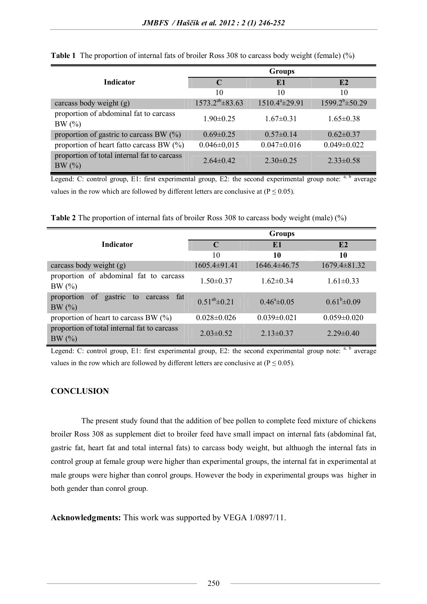|                                                      | <b>Groups</b>           |                      |                        |
|------------------------------------------------------|-------------------------|----------------------|------------------------|
| <b>Indicator</b>                                     | C                       | E1                   | E2                     |
|                                                      | 10                      | 10                   | 10                     |
| carcass body weight (g)                              | $1573.2^{ab} \pm 83.63$ | $1510.4^a \pm 29.91$ | $1599.2^{b} \pm 50.29$ |
| proportion of abdominal fat to carcass<br>BW(%)      | $1.90\pm0.25$           | $1.67 \pm 0.31$      | $1.65 \pm 0.38$        |
| proportion of gastric to carcass BW $(\%)$           | $0.69 \pm 0.25$         | $0.57 \pm 0.14$      | $0.62 \pm 0.37$        |
| proportion of heart fatto carcass BW $(\%)$          | $0.046 \pm 0.015$       | $0.047 \pm 0.016$    | $0.049 \pm 0.022$      |
| proportion of total internal fat to carcass<br>BW(%) | $2.64\pm0.42$           | $2.30\pm0.25$        | $2.33 \pm 0.58$        |

**Table 1** The proportion of internal fats of broiler Ross 308 to carcass body weight (female) (%)

Legend: C: control group, E1: first experimental group, E2: the second experimental group note:  $a, b$  average values in the row which are followed by different letters are conclusive at ( $P \le 0.05$ ).

**Table 2** The proportion of internal fats of broiler Ross 308 to carcass body weight (male) (%)

|                                                              | <b>Groups</b>        |                       |                    |
|--------------------------------------------------------------|----------------------|-----------------------|--------------------|
| <b>Indicator</b>                                             | $\mathbf C$          | E1                    | E2                 |
|                                                              | 10                   | 10                    | 10                 |
| carcass body weight (g)                                      | $1605.4\pm91.41$     | 1646.4±46.75          | $1679.4 \pm 81.32$ |
| proportion of abdominal fat to carcass<br>BW(%)              | $1.50 \pm 0.37$      | $1.62 \pm 0.34$       | $1.61 \pm 0.33$    |
| of<br>gastric<br>proportion<br>fat<br>to<br>carcass<br>BW(%) | $0.51^{ab} \pm 0.21$ | $0.46^{\circ}$ ± 0.05 | $0.61^b \pm 0.09$  |
| proportion of heart to carcass BW $(\%)$                     | $0.028 \pm 0.026$    | $0.039 \pm 0.021$     | $0.059 \pm 0.020$  |
| proportion of total internal fat to carcass<br>BW(%)         | $2.03 \pm 0.52$      | $2.13 \pm 0.37$       | $2.29 \pm 0.40$    |

Legend: C: control group, E1: first experimental group, E2: the second experimental group note:  $a$ ,  $b$  average values in the row which are followed by different letters are conclusive at  $(P \le 0.05)$ .

## **CONCLUSION**

The present study found that the addition of bee pollen to complete feed mixture of chickens broiler Ross 308 as supplement diet to broiler feed have small impact on internal fats (abdominal fat, gastric fat, heart fat and total internal fats) to carcass body weight, but althuogh the internal fats in control group at female group were higher than experimental groups, the internal fat in experimental at male groups were higher than conrol groups. However the body in experimental groups was higher in both gender than conrol group.

**Acknowledgments:** This work was supported by VEGA 1/0897/11.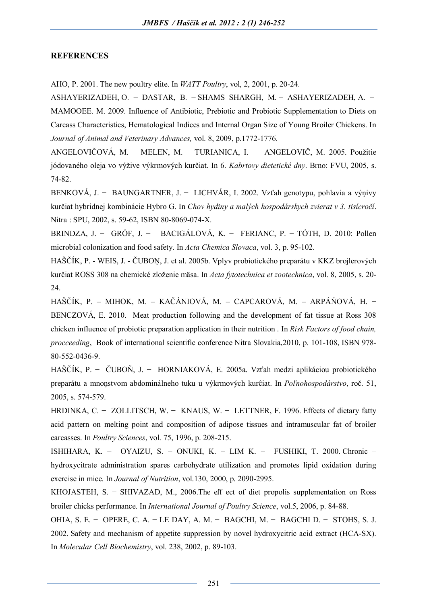#### **REFERENCES**

AHO, P. 2001. The new poultry elite. In *WATT Poultry*, vol, 2, 2001, p. 20-24.

ASHAYERIZADEH, O. − DASTAR, B. − SHAMS SHARGH, M. − ASHAYERIZADEH, A. − MAMOOEE. M. 2009. Influence of Antibiotic, Prebiotic and Probiotic Supplementation to Diets on Carcass Characteristics, Hematological Indices and Internal Organ Size of Young Broiler Chickens. In *Journal of Animal and Veterinary Advances,* vol. 8, 2009, p.1772-1776.

ANGELOVIČOVÁ, M. − MELEN, M. − TURIANICA, I. − ANGELOVIČ, M. 2005. Použitie jódovaného oleja vo výžive výkrmových kurčiat. In 6. *Kabrtovy dietetické dny*. Brno: FVU, 2005, s. 74-82.

BENKOVÁ, J. − BAUNGARTNER, J. − LICHVÁR, I. 2002. Vzťah genotypu, pohlavia a výņivy kurčiat hybridnej kombinácie Hybro G. In *Chov hydiny a malých hospodárskych zvierat v 3. tisícročí*. Nitra : SPU, 2002, s. 59-62, ISBN 80-8069-074-X.

BRINDZA, J. − GRÓF, J. − BACIGÁLOVÁ, K. − FERIANC, P. − TÓTH, D. 2010: Pollen microbial colonization and food safety. In *Acta Chemica Slovaca*, vol. 3, p. 95-102.

HAŠČÍK, P. - WEIS, J. - ČUBOŅ, J. et al. 2005b. Vplyv probiotického preparátu v KKZ brojlerových kurčiat ROSS 308 na chemické zloženie mäsa. In *Acta fytotechnica et zootechnica*, vol. 8, 2005, s. 20-  $24.$ 

HAŠČÍK, P. – MIHOK, M. – KAČÁNIOVÁ, M. – CAPCAROVÁ, M. – ARPÁŃOVÁ, H. − BENCZOVÁ, E. 2010. Meat production following and the development of fat tissue at Ross 308 chicken influence of probiotic preparation application in their nutrition . In *Risk Factors of food chain, procceeding*, Book of international scientific conference Nitra Slovakia,2010, p. 101-108, ISBN 978- 80-552-0436-9.

HAŠČÍK, P. − ČUBOŇ, J. − HORNIAKOVÁ, E. 2005a. Vzťah medzi aplikáciou probiotického preparátu a mnoņstvom abdominálneho tuku u výkrmových kurĉiat. In *Poľnohospodárstvo*, roč. 51, 2005, s. 574-579.

HRDINKA, C. − ZOLLITSCH, W. − KNAUS, W. − LETTNER, F. 1996. Effects of dietary fatty acid pattern on melting point and composition of adipose tissues and intramuscular fat of broiler carcasses. In *Poultry Sciences*, vol. 75, 1996, p. 208-215.

ISHIHARA, K. − OYAIZU, S. − ONUKI, K. − LIM K. − FUSHIKI, T. 2000. Chronic – hydroxycitrate administration spares carbohydrate utilization and promotes lipid oxidation during exercise in mice. In *Journal of Nutrition*, vol.130, 2000, p. 2090-2995.

KHOJASTEH, S. − SHIVAZAD, M., 2006.The eff ect of diet propolis supplementation on Ross broiler chicks performance. In *International Journal of Poultry Science*, vol.5, 2006, p. 84-88.

OHIA, S. E. − OPERE, C. A. − LE DAY, A. M. − BAGCHI, M. − BAGCHI D. − STOHS, S. J. 2002. Safety and mechanism of appetite suppression by novel hydroxycitric acid extract (HCA-SX). In *Molecular Cell Biochemistry*, vol. 238, 2002, p. 89-103.